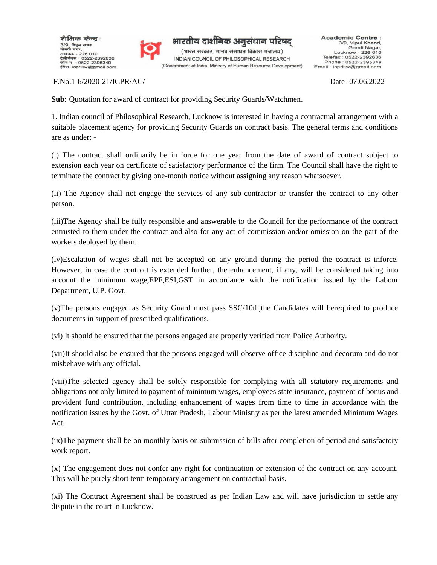



F.No.1-6/2020-21/ICPR/AC/ Date- 07.06.2022

**Sub:** Quotation for award of contract for providing Security Guards/Watchmen.

1. Indian council of Philosophical Research, Lucknow is interested in having a contractual arrangement with a suitable placement agency for providing Security Guards on contract basis. The general terms and conditions are as under: -

(i) The contract shall ordinarily be in force for one year from the date of award of contract subject to extension each year on certificate of satisfactory performance of the firm. The Council shall have the right to terminate the contract by giving one-month notice without assigning any reason whatsoever.

(ii) The Agency shall not engage the services of any sub-contractor or transfer the contract to any other person.

(iii)The Agency shall be fully responsible and answerable to the Council for the performance of the contract entrusted to them under the contract and also for any act of commission and/or omission on the part of the workers deployed by them.

(iv)Escalation of wages shall not be accepted on any ground during the period the contract is inforce. However, in case the contract is extended further, the enhancement, if any, will be considered taking into account the minimum wage,EPF,ESI,GST in accordance with the notification issued by the Labour Department, U.P. Govt.

(v)The persons engaged as Security Guard must pass SSC/10th,the Candidates will berequired to produce documents in support of prescribed qualifications.

(vi) It should be ensured that the persons engaged are properly verified from Police Authority.

(vii)It should also be ensured that the persons engaged will observe office discipline and decorum and do not misbehave with any official.

(viii)The selected agency shall be solely responsible for complying with all statutory requirements and obligations not only limited to payment of minimum wages, employees state insurance, payment of bonus and provident fund contribution, including enhancement of wages from time to time in accordance with the notification issues by the Govt. of Uttar Pradesh, Labour Ministry as per the latest amended Minimum Wages Act,

(ix)The payment shall be on monthly basis on submission of bills after completion of period and satisfactory work report.

(x) The engagement does not confer any right for continuation or extension of the contract on any account. This will be purely short term temporary arrangement on contractual basis.

(xi) The Contract Agreement shall be construed as per Indian Law and will have jurisdiction to settle any dispute in the court in Lucknow.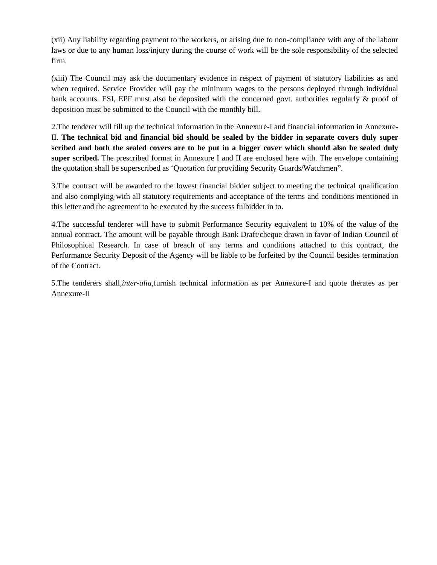(xii) Any liability regarding payment to the workers, or arising due to non-compliance with any of the labour laws or due to any human loss/injury during the course of work will be the sole responsibility of the selected firm.

(xiii) The Council may ask the documentary evidence in respect of payment of statutory liabilities as and when required. Service Provider will pay the minimum wages to the persons deployed through individual bank accounts. ESI, EPF must also be deposited with the concerned govt. authorities regularly & proof of deposition must be submitted to the Council with the monthly bill.

2.The tenderer will fill up the technical information in the Annexure-I and financial information in Annexure-II. **The technical bid and financial bid should be sealed by the bidder in separate covers duly super scribed and both the sealed covers are to be put in a bigger cover which should also be sealed duly super scribed.** The prescribed format in Annexure I and II are enclosed here with. The envelope containing the quotation shall be superscribed as 'Quotation for providing Security Guards/Watchmen".

3.The contract will be awarded to the lowest financial bidder subject to meeting the technical qualification and also complying with all statutory requirements and acceptance of the terms and conditions mentioned in this letter and the agreement to be executed by the success fulbidder in to.

4.The successful tenderer will have to submit Performance Security equivalent to 10% of the value of the annual contract. The amount will be payable through Bank Draft/cheque drawn in favor of Indian Council of Philosophical Research. In case of breach of any terms and conditions attached to this contract, the Performance Security Deposit of the Agency will be liable to be forfeited by the Council besides termination of the Contract.

5.The tenderers shall,*inter-alia*,furnish technical information as per Annexure-I and quote therates as per Annexure-II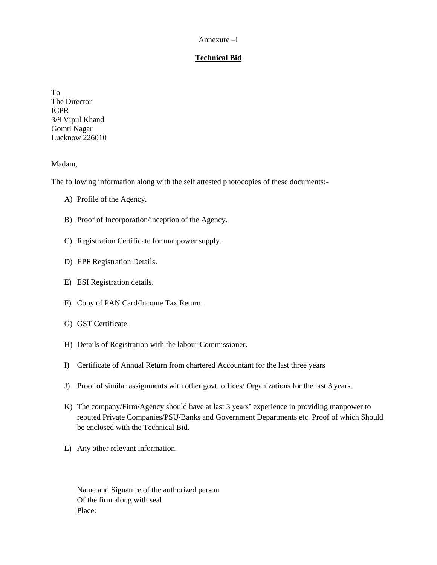#### Annexure –I

## **Technical Bid**

To The Director ICPR 3/9 Vipul Khand Gomti Nagar Lucknow 226010

Madam,

The following information along with the self attested photocopies of these documents:-

- A) Profile of the Agency.
- B) Proof of Incorporation/inception of the Agency.
- C) Registration Certificate for manpower supply.
- D) EPF Registration Details.
- E) ESI Registration details.
- F) Copy of PAN Card/Income Tax Return.
- G) GST Certificate.
- H) Details of Registration with the labour Commissioner.
- I) Certificate of Annual Return from chartered Accountant for the last three years
- J) Proof of similar assignments with other govt. offices/ Organizations for the last 3 years.
- K) The company/Firm/Agency should have at last 3 years' experience in providing manpower to reputed Private Companies/PSU/Banks and Government Departments etc. Proof of which Should be enclosed with the Technical Bid.
- L) Any other relevant information.

Name and Signature of the authorized person Of the firm along with seal Place: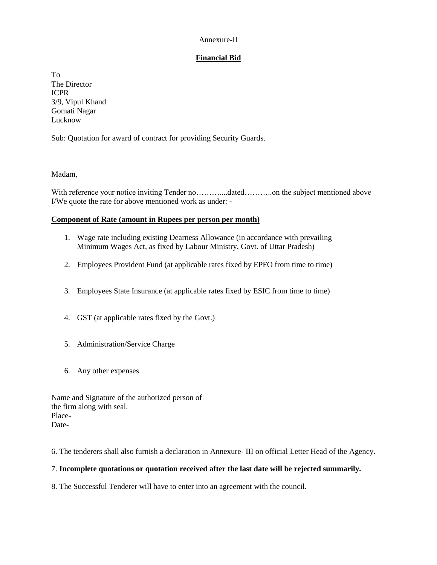#### Annexure-II

## **Financial Bid**

To The Director ICPR 3/9, Vipul Khand Gomati Nagar Lucknow

Sub: Quotation for award of contract for providing Security Guards.

Madam,

With reference your notice inviting Tender no…….......dated………..on the subject mentioned above I/We quote the rate for above mentioned work as under: -

## **Component of Rate (amount in Rupees per person per month)**

- 1. Wage rate including existing Dearness Allowance (in accordance with prevailing Minimum Wages Act, as fixed by Labour Ministry, Govt. of Uttar Pradesh)
- 2. Employees Provident Fund (at applicable rates fixed by EPFO from time to time)
- 3. Employees State Insurance (at applicable rates fixed by ESIC from time to time)
- 4. GST (at applicable rates fixed by the Govt.)
- 5. Administration/Service Charge
- 6. Any other expenses

| Name and Signature of the authorized person of |
|------------------------------------------------|
| the firm along with seal.                      |
| Place-                                         |
| Date-                                          |

6. The tenderers shall also furnish a declaration in Annexure- III on official Letter Head of the Agency.

# 7. **Incomplete quotations or quotation received after the last date will be rejected summarily.**

8. The Successful Tenderer will have to enter into an agreement with the council.